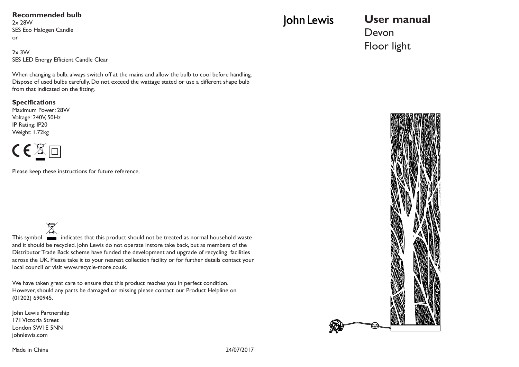#### **Recommended bulb**

2x 28W SES Eco Halogen Candle or

2x 3W SES LED Energy Efficient Candle Clear

When changing a bulb, always switch off at the mains and allow the bulb to cool before handling. Dispose of used bulbs carefully. Do not exceed the wattage stated or use a different shape bulb from that indicated on the fitting.

#### **Specifications**

Maximum Power: 28W Voltage: 240V, 50Hz IP Rating: IP20 Weight: 1.72kg



Please keep these instructions for future reference.

 $\overline{\mathbb{X}}$ This symbol **indicates that this product should not be treated as normal household waste** and it should be recycled. John Lewis do not operate instore take back, but as members of the Distributor Trade Back scheme have funded the development and upgrade of recycling facilities across the UK. Please take it to your nearest collection facility or for further details contact your local council or visit www.recycle-more.co.uk.

We have taken great care to ensure that this product reaches you in perfect condition. However, should any parts be damaged or missing please contact our Product Helpline on (01202) 690945.

John Lewis Partnership 171 Victoria Street London SW1E 5NN johnlewis.com

# John Lewis

## **User manual** Devon Floor light



Made in China 24/07/2017